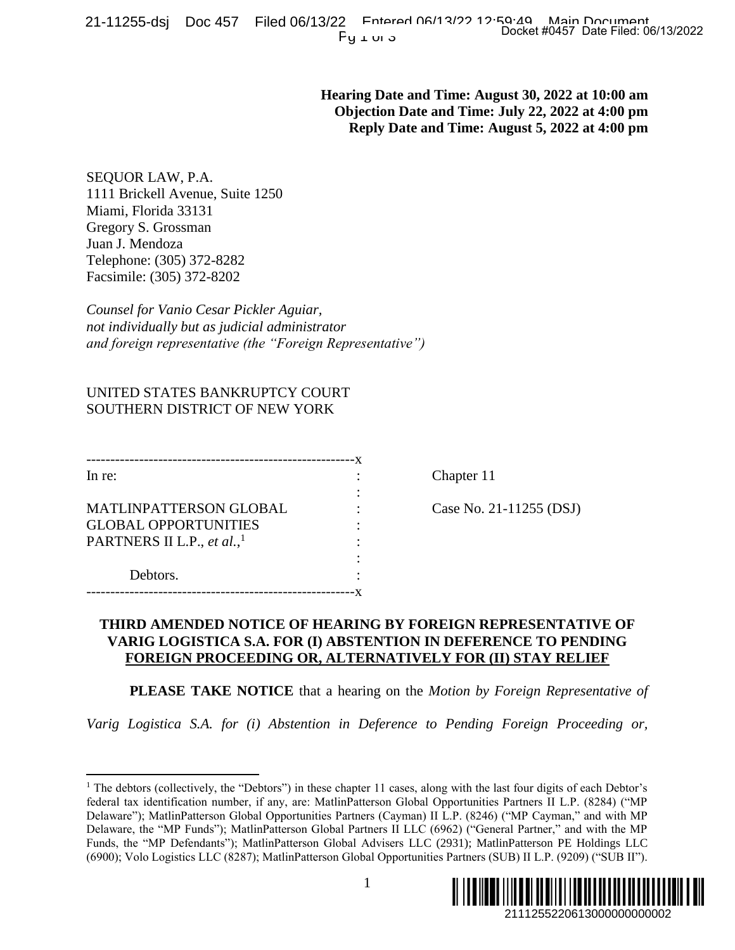**Hearing Date and Time: August 30, 2022 at 10:00 am Objection Date and Time: July 22, 2022 at 4:00 pm Reply Date and Time: August 5, 2022 at 4:00 pm**

SEQUOR LAW, P.A. 1111 Brickell Avenue, Suite 1250 Miami, Florida 33131 Gregory S. Grossman Juan J. Mendoza Telephone: (305) 372-8282 Facsimile: (305) 372-8202

*Counsel for Vanio Cesar Pickler Aguiar, not individually but as judicial administrator and foreign representative (the "Foreign Representative")*

## UNITED STATES BANKRUPTCY COURT SOUTHERN DISTRICT OF NEW YORK

| In $re$ :                              |  |
|----------------------------------------|--|
|                                        |  |
| <b>MATLINPATTERSON GLOBAL</b>          |  |
| <b>GLOBAL OPPORTUNITIES</b>            |  |
| PARTNERS II L.P., et al., <sup>1</sup> |  |
|                                        |  |
| Debtors.                               |  |
|                                        |  |

Chapter 11

Case No. 21-11255 (DSJ)

## **THIRD AMENDED NOTICE OF HEARING BY FOREIGN REPRESENTATIVE OF VARIG LOGISTICA S.A. FOR (I) ABSTENTION IN DEFERENCE TO PENDING FOREIGN PROCEEDING OR, ALTERNATIVELY FOR (II) STAY RELIEF**

**PLEASE TAKE NOTICE** that a hearing on the *Motion by Foreign Representative of* 

*Varig Logistica S.A. for (i) Abstention in Deference to Pending Foreign Proceeding or,* 

 $\overline{\phantom{a}}$ <sup>1</sup> The debtors (collectively, the "Debtors") in these chapter 11 cases, along with the last four digits of each Debtor's federal tax identification number, if any, are: MatlinPatterson Global Opportunities Partners II L.P. (8284) ("MP Delaware"); MatlinPatterson Global Opportunities Partners (Cayman) II L.P. (8246) ("MP Cayman," and with MP Delaware, the "MP Funds"); MatlinPatterson Global Partners II LLC (6962) ("General Partner," and with the MP Funds, the "MP Defendants"); MatlinPatterson Global Advisers LLC (2931); MatlinPatterson PE Holdings LLC (6900); Volo Logistics LLC (8287); MatlinPatterson Global Opportunities Partners (SUB) II L.P. (9209) ("SUB II"). Docket #0457 Date Filed: 06/13/2022<br>
ust 30, 2022 at 10:00 am<br>
Iuly 22, 2022 at 4:00 pm<br>
Iuly 22, 2022 at 4:00 pm<br>
ugust 5, 2022 at 4:00 pm<br>
ugust 5, 2022 at 4:00 pm<br>
PRESENTATIVE OF<br>
Poreign Representative of<br>
Foreign Pro

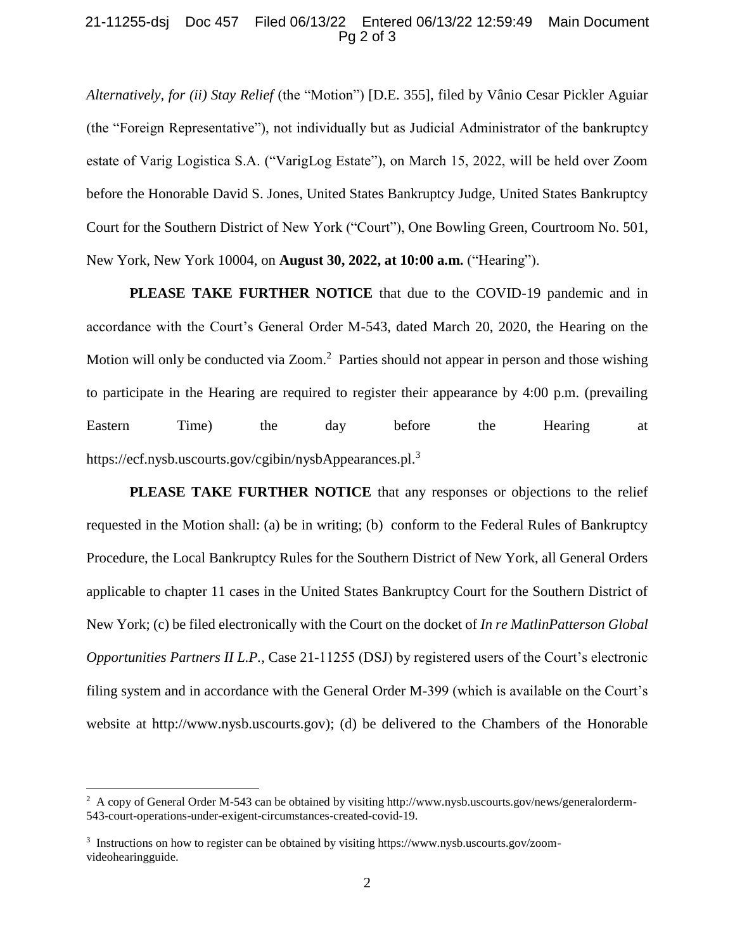## 21-11255-dsj Doc 457 Filed 06/13/22 Entered 06/13/22 12:59:49 Main Document Pg 2 of 3

*Alternatively, for (ii) Stay Relief* (the "Motion") [D.E. 355], filed by Vânio Cesar Pickler Aguiar (the "Foreign Representative"), not individually but as Judicial Administrator of the bankruptcy estate of Varig Logistica S.A. ("VarigLog Estate"), on March 15, 2022, will be held over Zoom before the Honorable David S. Jones, United States Bankruptcy Judge, United States Bankruptcy Court for the Southern District of New York ("Court"), One Bowling Green, Courtroom No. 501, New York, New York 10004, on **August 30, 2022, at 10:00 a.m.** ("Hearing").

**PLEASE TAKE FURTHER NOTICE** that due to the COVID-19 pandemic and in accordance with the Court's General Order M-543, dated March 20, 2020, the Hearing on the Motion will only be conducted via Zoom.<sup>2</sup> Parties should not appear in person and those wishing to participate in the Hearing are required to register their appearance by 4:00 p.m. (prevailing Eastern Time) the day before the Hearing at https://ecf.nysb.uscourts.gov/cgibin/nysbAppearances.pl.<sup>3</sup>

**PLEASE TAKE FURTHER NOTICE** that any responses or objections to the relief requested in the Motion shall: (a) be in writing; (b) conform to the Federal Rules of Bankruptcy Procedure, the Local Bankruptcy Rules for the Southern District of New York, all General Orders applicable to chapter 11 cases in the United States Bankruptcy Court for the Southern District of New York; (c) be filed electronically with the Court on the docket of *In re MatlinPatterson Global Opportunities Partners II L.P.*, Case 21-11255 (DSJ) by registered users of the Court's electronic filing system and in accordance with the General Order M-399 (which is available on the Court's website at http://www.nysb.uscourts.gov); (d) be delivered to the Chambers of the Honorable

l

<sup>&</sup>lt;sup>2</sup> A copy of General Order M-543 can be obtained by visiting http://www.nysb.uscourts.gov/news/generalorderm-543-court-operations-under-exigent-circumstances-created-covid-19.

<sup>&</sup>lt;sup>3</sup> Instructions on how to register can be obtained by visiting https://www.nysb.uscourts.gov/zoomvideohearingguide.